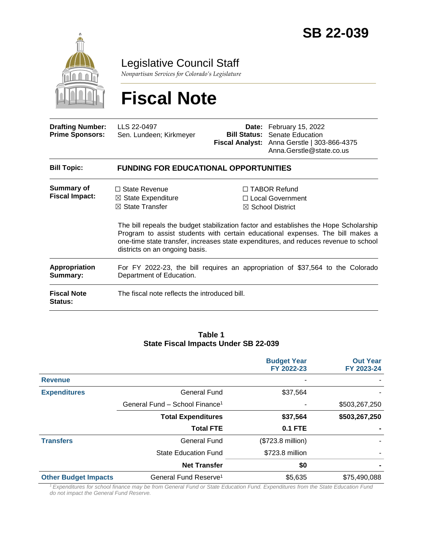

Legislative Council Staff

*Nonpartisan Services for Colorado's Legislature*

# **Fiscal Note**

| <b>Drafting Number:</b><br><b>Prime Sponsors:</b> | LLS 22-0497<br>Sen. Lundeen; Kirkmeyer                                                                                |  | Date: February 15, 2022<br><b>Bill Status:</b> Senate Education<br>Fiscal Analyst: Anna Gerstle   303-866-4375<br>Anna.Gerstle@state.co.us                                                                                                                                                                                                  |  |  |
|---------------------------------------------------|-----------------------------------------------------------------------------------------------------------------------|--|---------------------------------------------------------------------------------------------------------------------------------------------------------------------------------------------------------------------------------------------------------------------------------------------------------------------------------------------|--|--|
| <b>Bill Topic:</b>                                | <b>FUNDING FOR EDUCATIONAL OPPORTUNITIES</b>                                                                          |  |                                                                                                                                                                                                                                                                                                                                             |  |  |
| Summary of<br><b>Fiscal Impact:</b>               | $\Box$ State Revenue<br>$\boxtimes$ State Expenditure<br>$\boxtimes$ State Transfer<br>districts on an ongoing basis. |  | $\Box$ TABOR Refund<br>□ Local Government<br>$\boxtimes$ School District<br>The bill repeals the budget stabilization factor and establishes the Hope Scholarship<br>Program to assist students with certain educational expenses. The bill makes a<br>one-time state transfer, increases state expenditures, and reduces revenue to school |  |  |
| Appropriation<br>Summary:                         | For FY 2022-23, the bill requires an appropriation of \$37,564 to the Colorado<br>Department of Education.            |  |                                                                                                                                                                                                                                                                                                                                             |  |  |
| <b>Fiscal Note</b><br><b>Status:</b>              | The fiscal note reflects the introduced bill.                                                                         |  |                                                                                                                                                                                                                                                                                                                                             |  |  |

#### **Table 1 State Fiscal Impacts Under SB 22-039**

|                             |                                            | <b>Budget Year</b><br>FY 2022-23 | <b>Out Year</b><br>FY 2023-24 |
|-----------------------------|--------------------------------------------|----------------------------------|-------------------------------|
| <b>Revenue</b>              |                                            |                                  |                               |
| <b>Expenditures</b>         | General Fund                               | \$37,564                         |                               |
|                             | General Fund - School Finance <sup>1</sup> |                                  | \$503,267,250                 |
|                             | <b>Total Expenditures</b>                  | \$37,564                         | \$503,267,250                 |
|                             | <b>Total FTE</b>                           | <b>0.1 FTE</b>                   |                               |
| <b>Transfers</b>            | <b>General Fund</b>                        | (\$723.8 million)                |                               |
|                             | <b>State Education Fund</b>                | \$723.8 million                  |                               |
|                             | <b>Net Transfer</b>                        | \$0                              |                               |
| <b>Other Budget Impacts</b> | General Fund Reserve <sup>1</sup>          | \$5,635                          | \$75,490,088                  |

*<sup>1</sup>Expenditures for school finance may be from General Fund or State Education Fund. Expenditures from the State Education Fund do not impact the General Fund Reserve.*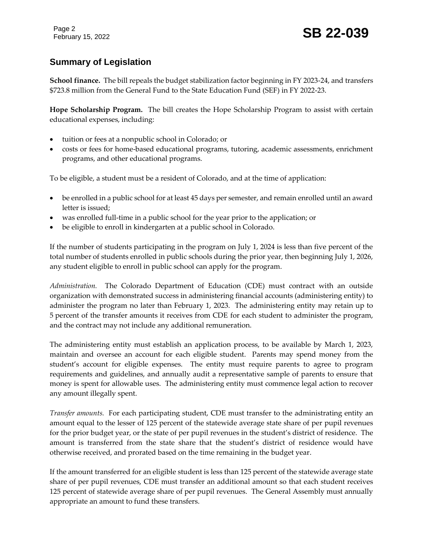Page 2

February 15, 2022 **SB 22-039** 

# **Summary of Legislation**

**School finance.** The bill repeals the budget stabilization factor beginning in FY 2023-24, and transfers \$723.8 million from the General Fund to the State Education Fund (SEF) in FY 2022-23.

**Hope Scholarship Program.** The bill creates the Hope Scholarship Program to assist with certain educational expenses, including:

- tuition or fees at a nonpublic school in Colorado; or
- costs or fees for home-based educational programs, tutoring, academic assessments, enrichment programs, and other educational programs.

To be eligible, a student must be a resident of Colorado, and at the time of application:

- be enrolled in a public school for at least 45 days per semester, and remain enrolled until an award letter is issued;
- was enrolled full-time in a public school for the year prior to the application; or
- be eligible to enroll in kindergarten at a public school in Colorado.

If the number of students participating in the program on July 1, 2024 is less than five percent of the total number of students enrolled in public schools during the prior year, then beginning July 1, 2026, any student eligible to enroll in public school can apply for the program.

*Administration.* The Colorado Department of Education (CDE) must contract with an outside organization with demonstrated success in administering financial accounts (administering entity) to administer the program no later than February 1, 2023. The administering entity may retain up to 5 percent of the transfer amounts it receives from CDE for each student to administer the program, and the contract may not include any additional remuneration.

The administering entity must establish an application process, to be available by March 1, 2023, maintain and oversee an account for each eligible student. Parents may spend money from the student's account for eligible expenses. The entity must require parents to agree to program requirements and guidelines, and annually audit a representative sample of parents to ensure that money is spent for allowable uses. The administering entity must commence legal action to recover any amount illegally spent.

*Transfer amounts.* For each participating student, CDE must transfer to the administrating entity an amount equal to the lesser of 125 percent of the statewide average state share of per pupil revenues for the prior budget year, or the state of per pupil revenues in the student's district of residence. The amount is transferred from the state share that the student's district of residence would have otherwise received, and prorated based on the time remaining in the budget year.

If the amount transferred for an eligible student is less than 125 percent of the statewide average state share of per pupil revenues, CDE must transfer an additional amount so that each student receives 125 percent of statewide average share of per pupil revenues. The General Assembly must annually appropriate an amount to fund these transfers.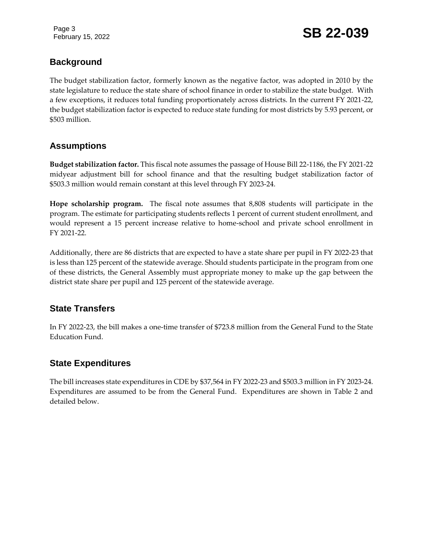Page 3

February 15, 2022 **SB 22-039** 

# **Background**

The budget stabilization factor, formerly known as the negative factor, was adopted in 2010 by the state legislature to reduce the state share of school finance in order to stabilize the state budget. With a few exceptions, it reduces total funding proportionately across districts. In the current FY 2021-22, the budget stabilization factor is expected to reduce state funding for most districts by 5.93 percent, or \$503 million.

## **Assumptions**

**Budget stabilization factor.** This fiscal note assumes the passage of House Bill 22-1186, the FY 2021-22 midyear adjustment bill for school finance and that the resulting budget stabilization factor of \$503.3 million would remain constant at this level through FY 2023-24.

**Hope scholarship program.** The fiscal note assumes that 8,808 students will participate in the program. The estimate for participating students reflects 1 percent of current student enrollment, and would represent a 15 percent increase relative to home-school and private school enrollment in FY 2021-22.

Additionally, there are 86 districts that are expected to have a state share per pupil in FY 2022-23 that is less than 125 percent of the statewide average. Should students participate in the program from one of these districts, the General Assembly must appropriate money to make up the gap between the district state share per pupil and 125 percent of the statewide average.

# **State Transfers**

In FY 2022-23, the bill makes a one-time transfer of \$723.8 million from the General Fund to the State Education Fund.

## **State Expenditures**

The bill increases state expenditures in CDE by \$37,564 in FY 2022-23 and \$503.3 million in FY 2023-24. Expenditures are assumed to be from the General Fund. Expenditures are shown in Table 2 and detailed below.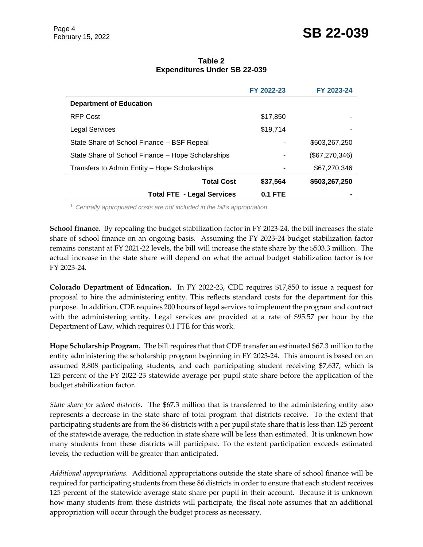|                                                   | FY 2022-23 | FY 2023-24     |
|---------------------------------------------------|------------|----------------|
| <b>Department of Education</b>                    |            |                |
| <b>RFP Cost</b>                                   | \$17,850   |                |
| <b>Legal Services</b>                             | \$19,714   |                |
| State Share of School Finance - BSF Repeal        |            | \$503,267,250  |
| State Share of School Finance – Hope Scholarships |            | (\$67,270,346) |
| Transfers to Admin Entity - Hope Scholarships     |            | \$67,270,346   |

**Total Cost \$37,564 \$503,267,250**

#### **Table 2 Expenditures Under SB 22-039**

<sup>1</sup> *Centrally appropriated costs are not included in the bill's appropriation.*

**School finance.** By repealing the budget stabilization factor in FY 2023-24, the bill increases the state share of school finance on an ongoing basis. Assuming the FY 2023-24 budget stabilization factor remains constant at FY 2021-22 levels, the bill will increase the state share by the \$503.3 million. The actual increase in the state share will depend on what the actual budget stabilization factor is for FY 2023-24.

**Total FTE - Legal Services 0.1 FTE -**

**Colorado Department of Education.** In FY 2022-23, CDE requires \$17,850 to issue a request for proposal to hire the administering entity. This reflects standard costs for the department for this purpose. In addition, CDE requires 200 hours of legal services to implement the program and contract with the administering entity. Legal services are provided at a rate of \$95.57 per hour by the Department of Law, which requires 0.1 FTE for this work.

**Hope Scholarship Program.** The bill requires that that CDE transfer an estimated \$67.3 million to the entity administering the scholarship program beginning in FY 2023-24. This amount is based on an assumed 8,808 participating students, and each participating student receiving \$7,637, which is 125 percent of the FY 2022-23 statewide average per pupil state share before the application of the budget stabilization factor.

*State share for school districts.* The \$67.3 million that is transferred to the administering entity also represents a decrease in the state share of total program that districts receive. To the extent that participating students are from the 86 districts with a per pupil state share that is less than 125 percent of the statewide average, the reduction in state share will be less than estimated. It is unknown how many students from these districts will participate. To the extent participation exceeds estimated levels, the reduction will be greater than anticipated.

*Additional appropriations.* Additional appropriations outside the state share of school finance will be required for participating students from these 86 districts in order to ensure that each student receives 125 percent of the statewide average state share per pupil in their account. Because it is unknown how many students from these districts will participate, the fiscal note assumes that an additional appropriation will occur through the budget process as necessary.